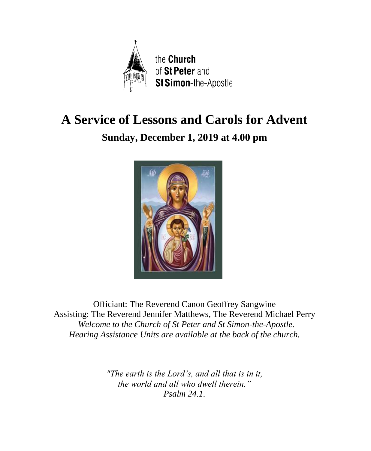

the Church of St Peter and St Simon-the-Apostle

# **A Service of Lessons and Carols for Advent Sunday, December 1, 2019 at 4.00 pm**



Officiant: The Reverend Canon Geoffrey Sangwine Assisting: The Reverend Jennifer Matthews, The Reverend Michael Perry *Welcome to the Church of St Peter and St Simon-the-Apostle. Hearing Assistance Units are available at the back of the church.*

> *"The earth is the Lord's, and all that is in it, the world and all who dwell therein." Psalm 24.1.*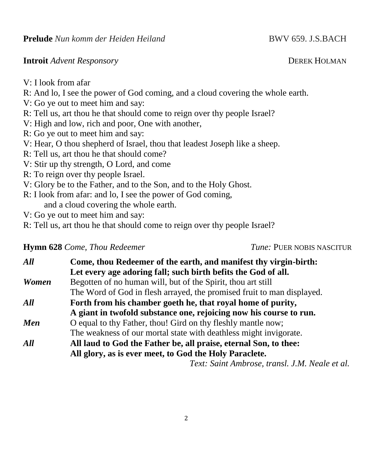#### **Introit** *Advent Responsory* DEREK HOLMAN

- V: I look from afar
- R: And lo, I see the power of God coming, and a cloud covering the whole earth.
- V: Go ye out to meet him and say:
- R: Tell us, art thou he that should come to reign over thy people Israel?
- V: High and low, rich and poor, One with another,
- R: Go ye out to meet him and say:
- V: Hear, O thou shepherd of Israel, thou that leadest Joseph like a sheep.
- R: Tell us, art thou he that should come?
- V: Stir up thy strength, O Lord, and come
- R: To reign over thy people Israel.
- V: Glory be to the Father, and to the Son, and to the Holy Ghost.
- R: I look from afar: and lo, I see the power of God coming,

and a cloud covering the whole earth.

- V: Go ye out to meet him and say:
- R: Tell us, art thou he that should come to reign over thy people Israel?

# **Hymn 628** *Come, Thou Redeemer Tune:* PUER NOBIS NASCITUR

| All        | Come, thou Redeemer of the earth, and manifest thy virgin-birth:       |
|------------|------------------------------------------------------------------------|
|            | Let every age adoring fall; such birth befits the God of all.          |
| Women      | Begotten of no human will, but of the Spirit, thou art still           |
|            | The Word of God in flesh arrayed, the promised fruit to man displayed. |
| All        | Forth from his chamber goeth he, that royal home of purity,            |
|            | A giant in twofold substance one, rejoicing now his course to run.     |
| <b>Men</b> | O equal to thy Father, thou! Gird on thy fleshly mantle now;           |
|            | The weakness of our mortal state with deathless might invigorate.      |
| All        | All laud to God the Father be, all praise, eternal Son, to thee:       |
|            | All glory, as is ever meet, to God the Holy Paraclete.                 |
|            | Toxi, Saint Ambrosa, transl IM Mogle at                                |

 *Text: Saint Ambrose, transl. J.M. Neale et al.*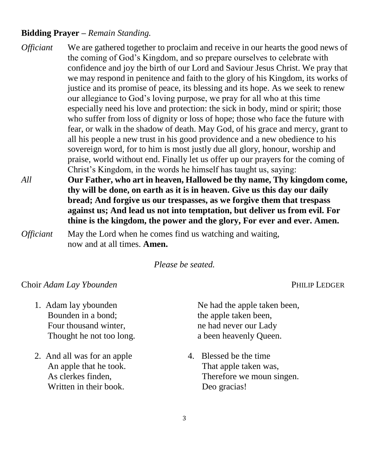#### **Bidding Prayer –** *Remain Standing.*

- *Officiant* We are gathered together to proclaim and receive in our hearts the good news of the coming of God's Kingdom, and so prepare ourselves to celebrate with confidence and joy the birth of our Lord and Saviour Jesus Christ. We pray that we may respond in penitence and faith to the glory of his Kingdom, its works of justice and its promise of peace, its blessing and its hope. As we seek to renew our allegiance to God's loving purpose, we pray for all who at this time especially need his love and protection: the sick in body, mind or spirit; those who suffer from loss of dignity or loss of hope; those who face the future with fear, or walk in the shadow of death. May God, of his grace and mercy, grant to all his people a new trust in his good providence and a new obedience to his sovereign word, for to him is most justly due all glory, honour, worship and praise, world without end. Finally let us offer up our prayers for the coming of Christ's Kingdom, in the words he himself has taught us, saying:
- *All* **Our Father, who art in heaven, Hallowed be thy name, Thy kingdom come, thy will be done, on earth as it is in heaven. Give us this day our daily bread; And forgive us our trespasses, as we forgive them that trespass against us; And lead us not into temptation, but deliver us from evil. For thine is the kingdom, the power and the glory, For ever and ever. Amen.**
- *Officiant* May the Lord when he comes find us watching and waiting, now and at all times. **Amen.**

*Please be seated.*

#### Choir *Adam Lay Ybounden* PHILIP LEDGER

- 1. Adam lay ybounden Bounden in a bond; Four thousand winter, Thought he not too long.
- 2. And all was for an apple An apple that he took. As clerkes finden, Written in their book.

Ne had the apple taken been, the apple taken been, ne had never our Lady a been heavenly Queen.

4. Blessed be the time That apple taken was, Therefore we moun singen. Deo gracias!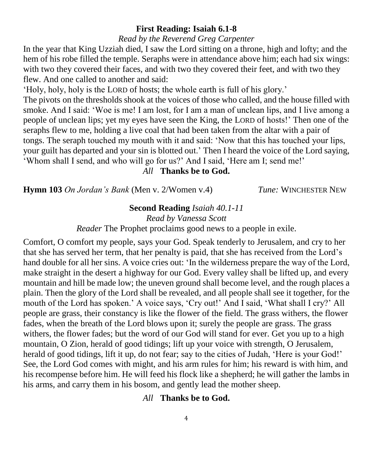# **First Reading: Isaiah 6.1-8**

### *Read by the Reverend Greg Carpenter*

In the year that King Uzziah died, I saw the Lord sitting on a throne, high and lofty; and the hem of his robe filled the temple. Seraphs were in attendance above him; each had six wings: with two they covered their faces, and with two they covered their feet, and with two they flew. And one called to another and said:

'Holy, holy, holy is the LORD of hosts; the whole earth is full of his glory.'

The pivots on the thresholds shook at the voices of those who called, and the house filled with smoke. And I said: 'Woe is me! I am lost, for I am a man of unclean lips, and I live among a people of unclean lips; yet my eyes have seen the King, the LORD of hosts!' Then one of the seraphs flew to me, holding a live coal that had been taken from the altar with a pair of tongs. The seraph touched my mouth with it and said: 'Now that this has touched your lips, your guilt has departed and your sin is blotted out.' Then I heard the voice of the Lord saying, 'Whom shall I send, and who will go for us?' And I said, 'Here am I; send me!'

*All* **Thanks be to God.**

**Hymn 103** On Jordan's Bank (Men v. 2/Women v. 4) *Tune:* WINCHESTER NEW

# **Second Reading** *Isaiah 40.1-11*

*Read by Vanessa Scott*

*Reader* The Prophet proclaims good news to a people in exile.

Comfort, O comfort my people, says your God. Speak tenderly to Jerusalem, and cry to her that she has served her term, that her penalty is paid, that she has received from the Lord's hand double for all her sins. A voice cries out: 'In the wilderness prepare the way of the Lord, make straight in the desert a highway for our God. Every valley shall be lifted up, and every mountain and hill be made low; the uneven ground shall become level, and the rough places a plain. Then the glory of the Lord shall be revealed, and all people shall see it together, for the mouth of the Lord has spoken.' A voice says, 'Cry out!' And I said, 'What shall I cry?' All people are grass, their constancy is like the flower of the field. The grass withers, the flower fades, when the breath of the Lord blows upon it; surely the people are grass. The grass withers, the flower fades; but the word of our God will stand for ever. Get you up to a high mountain, O Zion, herald of good tidings; lift up your voice with strength, O Jerusalem, herald of good tidings, lift it up, do not fear; say to the cities of Judah, 'Here is your God!' See, the Lord God comes with might, and his arm rules for him; his reward is with him, and his recompense before him. He will feed his flock like a shepherd; he will gather the lambs in his arms, and carry them in his bosom, and gently lead the mother sheep.

# *All* **Thanks be to God.**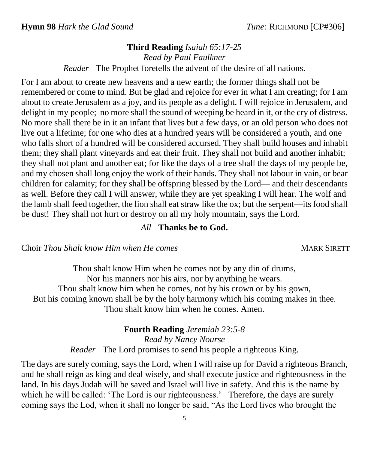# **Third Reading** *Isaiah 65:17-25 Read by Paul Faulkner*

*Reader* The Prophet foretells the advent of the desire of all nations.

For I am about to create new heavens and a new earth; the former things shall not be remembered or come to mind. But be glad and rejoice for ever in what I am creating; for I am about to create Jerusalem as a joy, and its people as a delight. I will rejoice in Jerusalem, and delight in my people; no more shall the sound of weeping be heard in it, or the cry of distress. No more shall there be in it an infant that lives but a few days, or an old person who does not live out a lifetime; for one who dies at a hundred years will be considered a youth, and one who falls short of a hundred will be considered accursed. They shall build houses and inhabit them; they shall plant vineyards and eat their fruit. They shall not build and another inhabit; they shall not plant and another eat; for like the days of a tree shall the days of my people be, and my chosen shall long enjoy the work of their hands. They shall not labour in vain, or bear children for calamity; for they shall be offspring blessed by the Lord— and their descendants as well. Before they call I will answer, while they are yet speaking I will hear. The wolf and the lamb shall feed together, the lion shall eat straw like the ox; but the serpent—its food shall be dust! They shall not hurt or destroy on all my holy mountain, says the Lord.

# *All* **Thanks be to God.**

Choir *Thou Shalt know Him when He comes* MARK SIRETT

Thou shalt know Him when he comes not by any din of drums, Nor his manners nor his airs, nor by anything he wears. Thou shalt know him when he comes, not by his crown or by his gown, But his coming known shall be by the holy harmony which his coming makes in thee. Thou shalt know him when he comes. Amen.

**Fourth Reading** *Jeremiah 23:5-8*

*Read by Nancy Nourse Reader* The Lord promises to send his people a righteous King.

The days are surely coming, says the Lord, when I will raise up for David a righteous Branch, and he shall reign as king and deal wisely, and shall execute justice and righteousness in the land. In his days Judah will be saved and Israel will live in safety. And this is the name by which he will be called: 'The Lord is our righteousness.' Therefore, the days are surely coming says the Lod, when it shall no longer be said, "As the Lord lives who brought the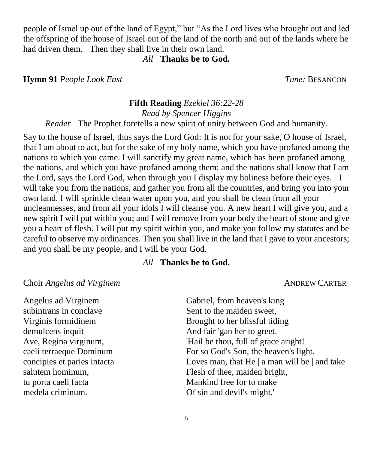people of Israel up out of the land of Egypt," but "As the Lord lives who brought out and led the offspring of the house of Israel out of the land of the north and out of the lands where he had driven them. Then they shall live in their own land.

#### *All* **Thanks be to God.**

#### **Hymn 91** *People Look East Tune:* BESANCON

#### **Fifth Reading** *Ezekiel 36:22-28 Read by Spencer Higgins*

*Reader* The Prophet foretells a new spirit of unity between God and humanity*.*

Say to the house of Israel, thus says the Lord God: It is not for your sake, O house of Israel, that I am about to act, but for the sake of my holy name, which you have profaned among the nations to which you came. I will sanctify my great name, which has been profaned among the nations, and which you have profaned among them; and the nations shall know that I am the Lord, says the Lord God, when through you I display my holiness before their eyes. I will take you from the nations, and gather you from all the countries, and bring you into your own land. I will sprinkle clean water upon you, and you shall be clean from all your uncleannesses, and from all your idols I will cleanse you. A new heart I will give you, and a new spirit I will put within you; and I will remove from your body the heart of stone and give you a heart of flesh. I will put my spirit within you, and make you follow my statutes and be careful to observe my ordinances. Then you shall live in the land that I gave to your ancestors; and you shall be my people, and I will be your God.

#### *All* **Thanks be to God.**

Choir *Angelus ad Virginem* ANDREW CARTER

Angelus ad Virginem subintrans in conclave Virginis formidinem demulcens inquit Ave, Regina virginum, caeli terraeque Dominum concipies et paries intacta salutem hominum, tu porta caeli facta medela criminum.

Gabriel, from heaven's king Sent to the maiden sweet, Brought to her blissful tiding And fair 'gan her to greet. 'Hail be thou, full of grace aright! For so God's Son, the heaven's light, Loves man, that He  $\vert$  a man will be  $\vert$  and take Flesh of thee, maiden bright, Mankind free for to make Of sin and devil's might.'

6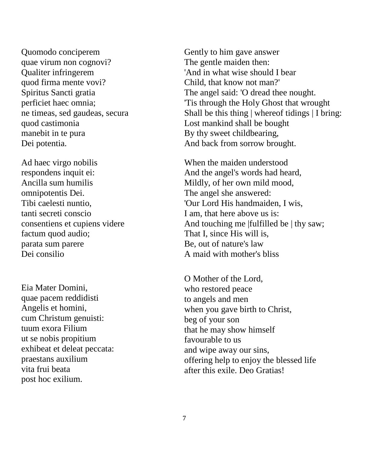Quomodo conciperem quae virum non cognovi? Qualiter infringerem quod firma mente vovi? Spiritus Sancti gratia perficiet haec omnia; ne timeas, sed gaudeas, secura quod castimonia manebit in te pura Dei potentia.

Ad haec virgo nobilis respondens inquit ei: Ancilla sum humilis omnipotentis Dei. Tibi caelesti nuntio, tanti secreti conscio consentiens et cupiens videre factum quod audio; parata sum parere Dei consilio

Eia Mater Domini, quae pacem reddidisti Angelis et homini, cum Christum genuisti: tuum exora Filium ut se nobis propitium exhibeat et deleat peccata: praestans auxilium vita frui beata post hoc exilium.

Gently to him gave answer The gentle maiden then: 'And in what wise should I bear Child, that know not man?' The angel said: 'O dread thee nought. 'Tis through the Holy Ghost that wrought Shall be this thing | whereof tidings | I bring: Lost mankind shall be bought By thy sweet childbearing, And back from sorrow brought.

When the maiden understood And the angel's words had heard, Mildly, of her own mild mood, The angel she answered: 'Our Lord His handmaiden, I wis, I am, that here above us is: And touching me | fulfilled be | thy saw; That I, since His will is, Be, out of nature's law A maid with mother's bliss

O Mother of the Lord, who restored peace to angels and men when you gave birth to Christ, beg of your son that he may show himself favourable to us and wipe away our sins, offering help to enjoy the blessed life after this exile. Deo Gratias!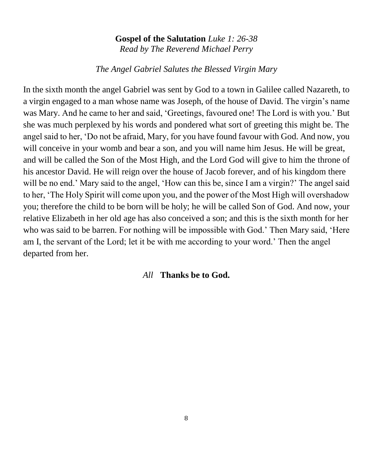**Gospel of the Salutation** *Luke 1: 26-38 Read by The Reverend Michael Perry*

*The Angel Gabriel Salutes the Blessed Virgin Mary*

In the sixth month the angel Gabriel was sent by God to a town in Galilee called Nazareth, to a virgin engaged to a man whose name was Joseph, of the house of David. The virgin's name was Mary. And he came to her and said, 'Greetings, favoured one! The Lord is with you.' But she was much perplexed by his words and pondered what sort of greeting this might be. The angel said to her, 'Do not be afraid, Mary, for you have found favour with God. And now, you will conceive in your womb and bear a son, and you will name him Jesus. He will be great, and will be called the Son of the Most High, and the Lord God will give to him the throne of his ancestor David. He will reign over the house of Jacob forever, and of his kingdom there will be no end.' Mary said to the angel, 'How can this be, since I am a virgin?' The angel said to her, 'The Holy Spirit will come upon you, and the power of the Most High will overshadow you; therefore the child to be born will be holy; he will be called Son of God. And now, your relative Elizabeth in her old age has also conceived a son; and this is the sixth month for her who was said to be barren. For nothing will be impossible with God.' Then Mary said, 'Here am I, the servant of the Lord; let it be with me according to your word.' Then the angel departed from her.

# *All* **Thanks be to God.**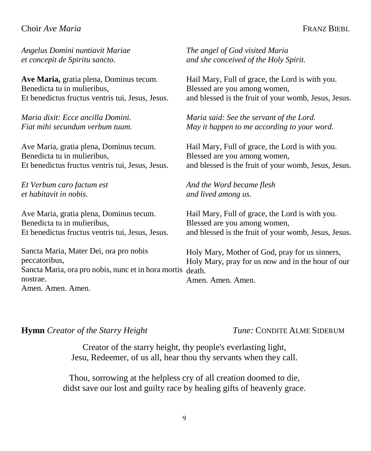### Choir *Ave Maria* FRANZ BIEBL<sub>2</sub>

*Angelus Domini nuntiavit Mariae et concepit de Spiritu sancto.*

**Ave Maria,** gratia plena, Dominus tecum. Benedicta tu in mulieribus, Et benedictus fructus ventris tui, Jesus, Jesus.

*Maria dixit: Ecce ancilla Domini. Fiat mihi secundum verbum tuum.*

Ave Maria, gratia plena, Dominus tecum. Benedicta tu in mulieribus, Et benedictus fructus ventris tui, Jesus, Jesus.

*Et Verbum caro factum est et habitavit in nobis.*

Ave Maria, gratia plena, Dominus tecum. Benedicta tu in mulieribus, Et benedictus fructus ventris tui, Jesus, Jesus.

Sancta Maria, Mater Dei, ora pro nobis peccatoribus, Sancta Maria, ora pro nobis, nunc et in hora mortis death. nostrae. Amen. Amen. Amen.

*The angel of God visited Maria and she conceived of the Holy Spirit.*

Hail Mary, Full of grace, the Lord is with you. Blessed are you among women, and blessed is the fruit of your womb, Jesus, Jesus.

*Maria said: See the servant of the Lord. May it happen to me according to your word.*

Hail Mary, Full of grace, the Lord is with you. Blessed are you among women, and blessed is the fruit of your womb, Jesus, Jesus.

*And the Word became flesh and lived among us.*

Hail Mary, Full of grace, the Lord is with you. Blessed are you among women, and blessed is the fruit of your womb, Jesus, Jesus.

Holy Mary, Mother of God, pray for us sinners, Holy Mary, pray for us now and in the hour of our Amen. Amen. Amen.

**Hymn** *Creator of the Starry Height Tune:* CONDITE ALME SIDERUM

Creator of the starry height, thy people's everlasting light, Jesu, Redeemer, of us all, hear thou thy servants when they call.

Thou, sorrowing at the helpless cry of all creation doomed to die, didst save our lost and guilty race by healing gifts of heavenly grace.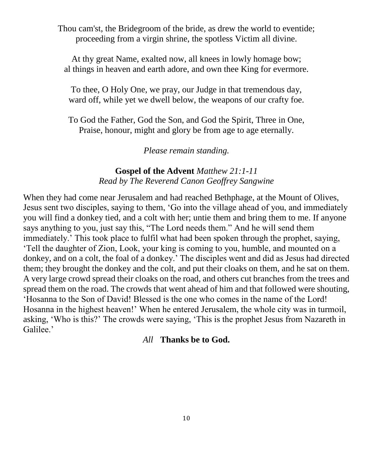Thou cam'st, the Bridegroom of the bride, as drew the world to eventide; proceeding from a virgin shrine, the spotless Victim all divine.

At thy great Name, exalted now, all knees in lowly homage bow; al things in heaven and earth adore, and own thee King for evermore.

To thee, O Holy One, we pray, our Judge in that tremendous day, ward off, while yet we dwell below, the weapons of our crafty foe.

To God the Father, God the Son, and God the Spirit, Three in One, Praise, honour, might and glory be from age to age eternally.

*Please remain standing.*

# **Gospel of the Advent** *Matthew 21:1-11 Read by The Reverend Canon Geoffrey Sangwine*

When they had come near Jerusalem and had reached Bethphage, at the Mount of Olives, Jesus sent two disciples, saying to them, 'Go into the village ahead of you, and immediately you will find a donkey tied, and a colt with her; untie them and bring them to me. If anyone says anything to you, just say this, "The Lord needs them." And he will send them immediately.' This took place to fulfil what had been spoken through the prophet, saying, 'Tell the daughter of Zion, Look, your king is coming to you, humble, and mounted on a donkey, and on a colt, the foal of a donkey.' The disciples went and did as Jesus had directed them; they brought the donkey and the colt, and put their cloaks on them, and he sat on them. A very large crowd spread their cloaks on the road, and others cut branches from the trees and spread them on the road. The crowds that went ahead of him and that followed were shouting, 'Hosanna to the Son of David! Blessed is the one who comes in the name of the Lord! Hosanna in the highest heaven!' When he entered Jerusalem, the whole city was in turmoil, asking, 'Who is this?' The crowds were saying, 'This is the prophet Jesus from Nazareth in Galilee.'

# *All* **Thanks be to God.**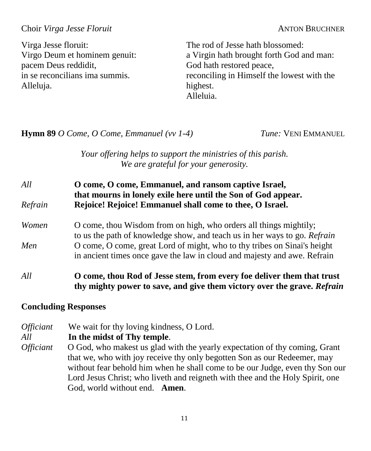*Your offering helps to support the ministries of this parish. We are grateful for your generosity.*

# *All* **O come, O come, Emmanuel, and ransom captive Israel, that mourns in lonely exile here until the Son of God appear.** *Refrain* **Rejoice! Rejoice! Emmanuel shall come to thee, O Israel.**

# *Women* O come, thou Wisdom from on high, who orders all things mightily; to us the path of knowledge show, and teach us in her ways to go. *Refrain Men* O come, O come, great Lord of might, who to thy tribes on Sinai's height in ancient times once gave the law in cloud and majesty and awe. Refrain

# *All* **O come, thou Rod of Jesse stem, from every foe deliver them that trust thy mighty power to save, and give them victory over the grave.** *Refrain*

# **Concluding Responses**

Virga Jesse floruit:

pacem Deus reddidit,

Alleluja.

Virgo Deum et hominem genuit:

in se reconcilians ima summis.

*Officiant* We wait for thy loving kindness, O Lord. *All* **In the midst of Thy temple**. *Officiant* O God, who makest us glad with the yearly expectation of thy coming, Grant that we, who with joy receive thy only begotten Son as our Redeemer, may without fear behold him when he shall come to be our Judge, even thy Son our Lord Jesus Christ; who liveth and reigneth with thee and the Holy Spirit, one God, world without end. **Amen**.

The rod of Jesse hath blossomed: a Virgin hath brought forth God and man: God hath restored peace, reconciling in Himself the lowest with the highest. Alleluia.

**Hymn 89** *O Come, O Come, Emmanuel (vv 1-4) Tune:* VENI EMMANUEL